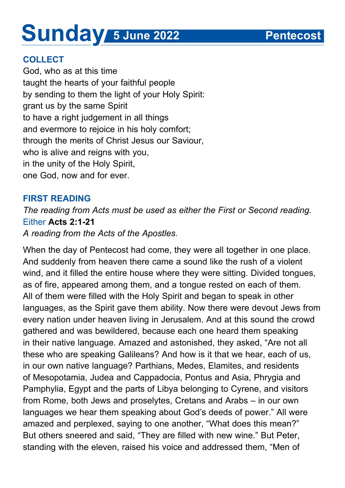# **Sunday** 5 June 2022 **Pentecost**

#### **COLLECT**

God, who as at this time taught the hearts of your faithful people by sending to them the light of your Holy Spirit: grant us by the same Spirit to have a right judgement in all things and evermore to rejoice in his holy comfort; through the merits of Christ Jesus our Saviour, who is alive and reigns with you, in the unity of the Holy Spirit, one God, now and for ever.

#### **FIRST READING**

*The reading from Acts must be used as either the First or Second reading.* Either **Acts 2:1-21**

*A reading from the Acts of the Apostles.*

When the day of Pentecost had come, they were all together in one place. And suddenly from heaven there came a sound like the rush of a violent wind, and it filled the entire house where they were sitting. Divided tongues, as of fire, appeared among them, and a tongue rested on each of them. All of them were filled with the Holy Spirit and began to speak in other languages, as the Spirit gave them ability. Now there were devout Jews from every nation under heaven living in Jerusalem. And at this sound the crowd gathered and was bewildered, because each one heard them speaking in their native language. Amazed and astonished, they asked, "Are not all these who are speaking Galileans? And how is it that we hear, each of us, in our own native language? Parthians, Medes, Elamites, and residents of Mesopotamia, Judea and Cappadocia, Pontus and Asia, Phrygia and Pamphylia, Egypt and the parts of Libya belonging to Cyrene, and visitors from Rome, both Jews and proselytes, Cretans and Arabs – in our own languages we hear them speaking about God's deeds of power." All were amazed and perplexed, saying to one another, "What does this mean?" But others sneered and said, "They are filled with new wine." But Peter, standing with the eleven, raised his voice and addressed them, "Men of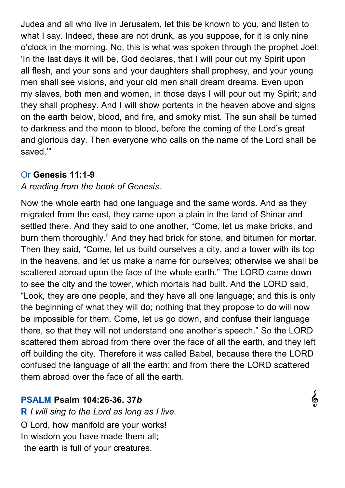Judea and all who live in Jerusalem, let this be known to you, and listen to what I say. Indeed, these are not drunk, as you suppose, for it is only nine o'clock in the morning. No, this is what was spoken through the prophet Joel: 'In the last days it will be, God declares, that I will pour out my Spirit upon all flesh, and your sons and your daughters shall prophesy, and your young men shall see visions, and your old men shall dream dreams. Even upon my slaves, both men and women, in those days I will pour out my Spirit; and they shall prophesy. And I will show portents in the heaven above and signs on the earth below, blood, and fire, and smoky mist. The sun shall be turned to darkness and the moon to blood, before the coming of the Lord's great and glorious day. Then everyone who calls on the name of the Lord shall be saved.'"

#### Or **Genesis 11:1-9**

#### *A reading from the book of Genesis.*

Now the whole earth had one language and the same words. And as they migrated from the east, they came upon a plain in the land of Shinar and settled there. And they said to one another, "Come, let us make bricks, and burn them thoroughly." And they had brick for stone, and bitumen for mortar. Then they said, "Come, let us build ourselves a city, and a tower with its top in the heavens, and let us make a name for ourselves; otherwise we shall be scattered abroad upon the face of the whole earth." The LORD came down to see the city and the tower, which mortals had built. And the LORD said, "Look, they are one people, and they have all one language; and this is only the beginning of what they will do; nothing that they propose to do will now be impossible for them. Come, let us go down, and confuse their language there, so that they will not understand one another's speech." So the LORD scattered them abroad from there over the face of all the earth, and they left off building the city. Therefore it was called Babel, because there the LORD confused the language of all the earth; and from there the LORD scattered them abroad over the face of all the earth.

#### **PSALM Psalm 104:26-36. 37***b*

**R** *I will sing to the Lord as long as I live.* O Lord, how manifold are your works! In wisdom you have made them all; the earth is full of your creatures.

ଡଁ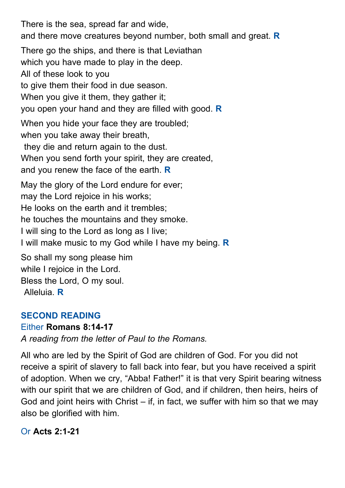There is the sea, spread far and wide, and there move creatures beyond number, both small and great. **R** There go the ships, and there is that Leviathan which you have made to play in the deep. All of these look to you to give them their food in due season. When you give it them, they gather it; you open your hand and they are filled with good. **R** When you hide your face they are troubled; when you take away their breath, they die and return again to the dust. When you send forth your spirit, they are created, and you renew the face of the earth. **R** May the glory of the Lord endure for ever; may the Lord rejoice in his works; He looks on the earth and it trembles; he touches the mountains and they smoke. I will sing to the Lord as long as I live; I will make music to my God while I have my being. **R** So shall my song please him while I rejoice in the Lord.

Bless the Lord, O my soul. Alleluia. **R**

#### **SECOND READING**

#### Either **Romans 8:14-17**

*A reading from the letter of Paul to the Romans.*

All who are led by the Spirit of God are children of God. For you did not receive a spirit of slavery to fall back into fear, but you have received a spirit of adoption. When we cry, "Abba! Father!" it is that very Spirit bearing witness with our spirit that we are children of God, and if children, then heirs, heirs of God and joint heirs with Christ – if, in fact, we suffer with him so that we may also be glorified with him.

#### Or **Acts 2:1-21**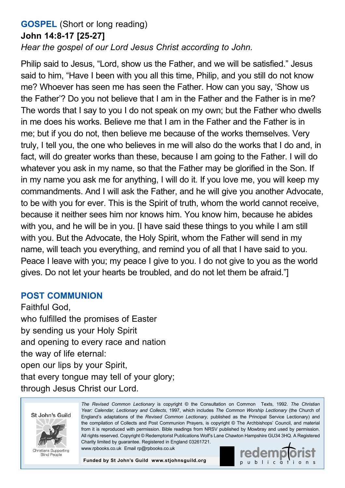#### **GOSPEL** (Short or long reading) **John 14:8-17 [25-27]** *Hear the gospel of our Lord Jesus Christ according to John.*

Philip said to Jesus, "Lord, show us the Father, and we will be satisfied." Jesus said to him, "Have I been with you all this time, Philip, and you still do not know me? Whoever has seen me has seen the Father. How can you say, 'Show us the Father'? Do you not believe that I am in the Father and the Father is in me? The words that I say to you I do not speak on my own; but the Father who dwells in me does his works. Believe me that I am in the Father and the Father is in me; but if you do not, then believe me because of the works themselves. Very truly, I tell you, the one who believes in me will also do the works that I do and, in fact, will do greater works than these, because I am going to the Father. I will do whatever you ask in my name, so that the Father may be glorified in the Son. If in my name you ask me for anything, I will do it. If you love me, you will keep my commandments. And I will ask the Father, and he will give you another Advocate, to be with you for ever. This is the Spirit of truth, whom the world cannot receive, because it neither sees him nor knows him. You know him, because he abides with you, and he will be in you. If have said these things to you while I am still with you. But the Advocate, the Holy Spirit, whom the Father will send in my name, will teach you everything, and remind you of all that I have said to you. Peace I leave with you; my peace I give to you. I do not give to you as the world gives. Do not let your hearts be troubled, and do not let them be afraid."]

#### **POST COMMUNION**

Faithful God, who fulfilled the promises of Easter by sending us your Holy Spirit and opening to every race and nation the way of life eternal: open our lips by your Spirit, that every tongue may tell of your glory; through Jesus Christ our Lord.



*The Revised Common Lectionary* is copyright © the Consultation on Common Texts, 1992. *The Christian Year: Calendar, Lectionary and Collects,* 1997, which includes *The Common Worship Lectionary* (the Church of England's adaptations of the *Revised Common Lectionary,* published as the Principal Service Lectionary) and the compilation of Collects and Post Communion Prayers, is copyright © The Archbishops' Council, and material from it is reproduced with permission. Bible readings from NRSV published by Mowbray and used by permission. All rights reserved. Copyright © Redemptorist Publications Wolf's Lane Chawton Hampshire GU34 3HQ. A Registered Charity limited by guarantee. Registered in England 03261721. www.rpbooks.co.uk Email rp@rpbooks.co.uk

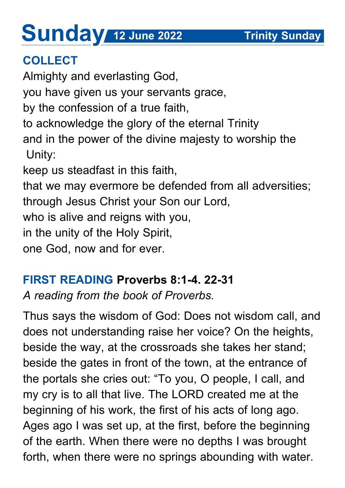# **Sunday**

# **COLLECT**

Almighty and everlasting God, you have given us your servants grace, by the confession of a true faith, to acknowledge the glory of the eternal Trinity and in the power of the divine majesty to worship the Unity: keep us steadfast in this faith, that we may evermore be defended from all adversities; through Jesus Christ your Son our Lord, who is alive and reigns with you, in the unity of the Holy Spirit, one God, now and for ever.

# **FIRST READING Proverbs 8:1-4. 22-31**

*A reading from the book of Proverbs.*

Thus says the wisdom of God: Does not wisdom call, and does not understanding raise her voice? On the heights, beside the way, at the crossroads she takes her stand; beside the gates in front of the town, at the entrance of the portals she cries out: "To you, O people, I call, and my cry is to all that live. The LORD created me at the beginning of his work, the first of his acts of long ago. Ages ago I was set up, at the first, before the beginning of the earth. When there were no depths I was brought forth, when there were no springs abounding with water.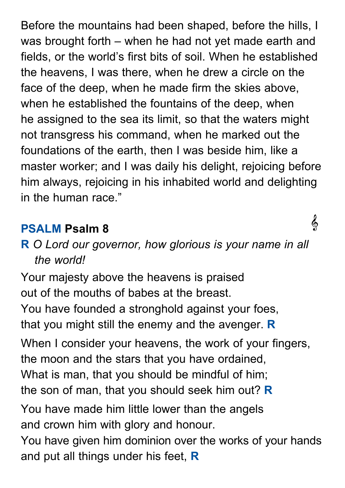Before the mountains had been shaped, before the hills, I was brought forth – when he had not yet made earth and fields, or the world's first bits of soil. When he established the heavens, I was there, when he drew a circle on the face of the deep, when he made firm the skies above, when he established the fountains of the deep, when he assigned to the sea its limit, so that the waters might not transgress his command, when he marked out the foundations of the earth, then I was beside him, like a master worker; and I was daily his delight, rejoicing before him always, rejoicing in his inhabited world and delighting in the human race."

# **PSALM Psalm 8**

**R** *O Lord our governor, how glorious is your name in all the world!* 

Your majesty above the heavens is praised out of the mouths of babes at the breast. You have founded a stronghold against your foes, that you might still the enemy and the avenger. **R** When I consider your heavens, the work of your fingers, the moon and the stars that you have ordained, What is man, that you should be mindful of him; the son of man, that you should seek him out? **R**

You have made him little lower than the angels and crown him with glory and honour.

You have given him dominion over the works of your hands and put all things under his feet, **R**

ℰ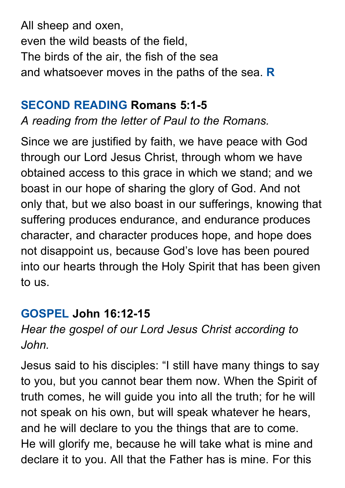All sheep and oxen, even the wild beasts of the field, The birds of the air, the fish of the sea and whatsoever moves in the paths of the sea. **R**

# **SECOND READING Romans 5:1-5**

*A reading from the letter of Paul to the Romans.*

Since we are justified by faith, we have peace with God through our Lord Jesus Christ, through whom we have obtained access to this grace in which we stand; and we boast in our hope of sharing the glory of God. And not only that, but we also boast in our sufferings, knowing that suffering produces endurance, and endurance produces character, and character produces hope, and hope does not disappoint us, because God's love has been poured into our hearts through the Holy Spirit that has been given to us.

# **GOSPEL John 16:12-15**

*Hear the gospel of our Lord Jesus Christ according to John.*

Jesus said to his disciples: "I still have many things to say to you, but you cannot bear them now. When the Spirit of truth comes, he will guide you into all the truth; for he will not speak on his own, but will speak whatever he hears, and he will declare to you the things that are to come. He will glorify me, because he will take what is mine and declare it to you. All that the Father has is mine. For this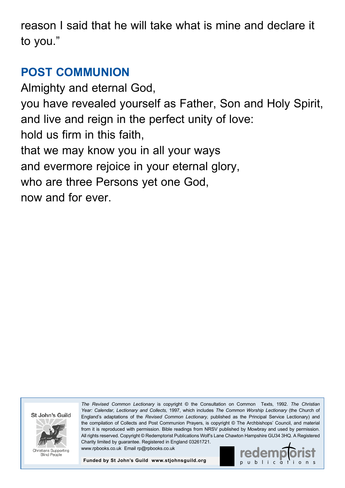reason I said that he will take what is mine and declare it to you."

# **POST COMMUNION**

Almighty and eternal God, you have revealed yourself as Father, Son and Holy Spirit, and live and reign in the perfect unity of love: hold us firm in this faith, that we may know you in all your ways and evermore rejoice in your eternal glory, who are three Persons yet one God, now and for ever.

St John's Guild



Christians Supporting Blind People

**redemp orist** *The Revised Common Lectionary* is copyright © the Consultation on Common Texts, 1992. *The Christian Year: Calendar, Lectionary and Collects,* 1997, which includes *The Common Worship Lectionary* (the Church of England's adaptations of the *Revised Common Lectionary,* published as the Principal Service Lectionary) and the compilation of Collects and Post Communion Prayers, is copyright © The Archbishops' Council, and material from it is reproduced with permission. Bible readings from NRSV published by Mowbray and used by permission. All rights reserved. Copyright © Redemptorist Publications Wolf's Lane Chawton Hampshire GU34 3HQ. A Registered Charity limited by guarantee. Registered in England 03261721. www.rpbooks.co.uk Email rp@rpbooks.co.uk

publicat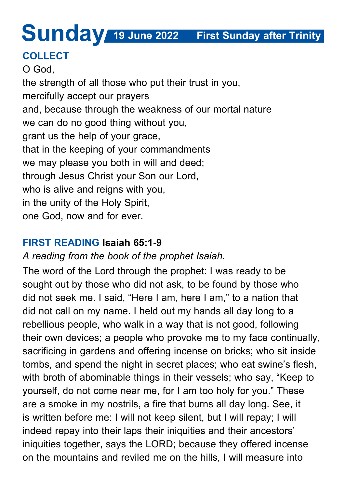## Sunday 19 June 2022 **First Sunday after Trinity**

# **COLLECT**

O God, the strength of all those who put their trust in you, mercifully accept our prayers and, because through the weakness of our mortal nature we can do no good thing without you, grant us the help of your grace, that in the keeping of your commandments we may please you both in will and deed; through Jesus Christ your Son our Lord, who is alive and reigns with you, in the unity of the Holy Spirit, one God, now and for ever.

## **FIRST READING Isaiah 65:1-9**

## *A reading from the book of the prophet Isaiah.*

The word of the Lord through the prophet: I was ready to be sought out by those who did not ask, to be found by those who did not seek me. I said, "Here I am, here I am," to a nation that did not call on my name. I held out my hands all day long to a rebellious people, who walk in a way that is not good, following their own devices; a people who provoke me to my face continually, sacrificing in gardens and offering incense on bricks; who sit inside tombs, and spend the night in secret places; who eat swine's flesh, with broth of abominable things in their vessels; who say, "Keep to yourself, do not come near me, for I am too holy for you." These are a smoke in my nostrils, a fire that burns all day long. See, it is written before me: I will not keep silent, but I will repay; I will indeed repay into their laps their iniquities and their ancestors' iniquities together, says the LORD; because they offered incense on the mountains and reviled me on the hills, I will measure into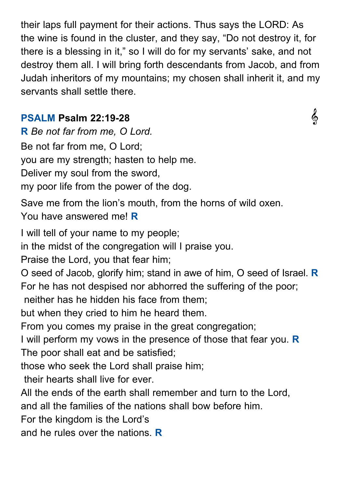their laps full payment for their actions. Thus says the LORD: As the wine is found in the cluster, and they say, "Do not destroy it, for there is a blessing in it," so I will do for my servants' sake, and not destroy them all. I will bring forth descendants from Jacob, and from Judah inheritors of my mountains; my chosen shall inherit it, and my servants shall settle there.

## **PSALM Psalm 22:19-28**

**R** *Be not far from me, O Lord.* Be not far from me, O Lord; you are my strength; hasten to help me. Deliver my soul from the sword, my poor life from the power of the dog.

Save me from the lion's mouth, from the horns of wild oxen. You have answered me! **R**

I will tell of your name to my people;

in the midst of the congregation will I praise you.

Praise the Lord, you that fear him;

O seed of Jacob, glorify him; stand in awe of him, O seed of Israel. **R** For he has not despised nor abhorred the suffering of the poor;

neither has he hidden his face from them;

but when they cried to him he heard them.

From you comes my praise in the great congregation;

I will perform my vows in the presence of those that fear you. **R** The poor shall eat and be satisfied;

those who seek the Lord shall praise him;

their hearts shall live for ever.

All the ends of the earth shall remember and turn to the Lord,

and all the families of the nations shall bow before him.

For the kingdom is the Lord's

and he rules over the nations. **R**

&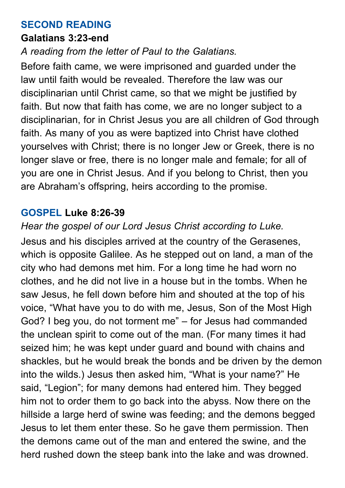#### **SECOND READING**

### **Galatians 3:23-end**

*A reading from the letter of Paul to the Galatians.*

Before faith came, we were imprisoned and guarded under the law until faith would be revealed. Therefore the law was our disciplinarian until Christ came, so that we might be justified by faith. But now that faith has come, we are no longer subject to a disciplinarian, for in Christ Jesus you are all children of God through faith. As many of you as were baptized into Christ have clothed yourselves with Christ; there is no longer Jew or Greek, there is no longer slave or free, there is no longer male and female; for all of you are one in Christ Jesus. And if you belong to Christ, then you are Abraham's offspring, heirs according to the promise.

## **GOSPEL Luke 8:26-39**

*Hear the gospel of our Lord Jesus Christ according to Luke.* Jesus and his disciples arrived at the country of the Gerasenes, which is opposite Galilee. As he stepped out on land, a man of the city who had demons met him. For a long time he had worn no clothes, and he did not live in a house but in the tombs. When he saw Jesus, he fell down before him and shouted at the top of his voice, "What have you to do with me, Jesus, Son of the Most High God? I beg you, do not torment me" – for Jesus had commanded the unclean spirit to come out of the man. (For many times it had seized him; he was kept under guard and bound with chains and shackles, but he would break the bonds and be driven by the demon into the wilds.) Jesus then asked him, "What is your name?" He said, "Legion"; for many demons had entered him. They begged him not to order them to go back into the abyss. Now there on the hillside a large herd of swine was feeding; and the demons begged Jesus to let them enter these. So he gave them permission. Then the demons came out of the man and entered the swine, and the herd rushed down the steep bank into the lake and was drowned.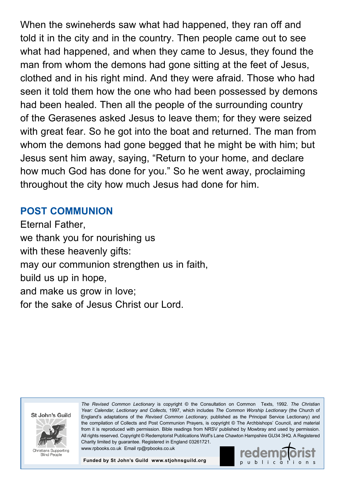When the swineherds saw what had happened, they ran off and told it in the city and in the country. Then people came out to see what had happened, and when they came to Jesus, they found the man from whom the demons had gone sitting at the feet of Jesus, clothed and in his right mind. And they were afraid. Those who had seen it told them how the one who had been possessed by demons had been healed. Then all the people of the surrounding country of the Gerasenes asked Jesus to leave them; for they were seized with great fear. So he got into the boat and returned. The man from whom the demons had gone begged that he might be with him; but Jesus sent him away, saying, "Return to your home, and declare how much God has done for you." So he went away, proclaiming throughout the city how much Jesus had done for him.

#### **POST COMMUNION**

Eternal Father, we thank you for nourishing us with these heavenly gifts: may our communion strengthen us in faith, build us up in hope, and make us grow in love; for the sake of Jesus Christ our Lord.





**Christians Supporting Blind People** 

*The Revised Common Lectionary* is copyright © the Consultation on Common Texts, 1992. *The Christian Year: Calendar, Lectionary and Collects,* 1997, which includes *The Common Worship Lectionary* (the Church of England's adaptations of the *Revised Common Lectionary,* published as the Principal Service Lectionary) and the compilation of Collects and Post Communion Prayers, is copyright © The Archbishops' Council, and material from it is reproduced with permission. Bible readings from NRSV published by Mowbray and used by permission. All rights reserved. Copyright © Redemptorist Publications Wolf's Lane Chawton Hampshire GU34 3HQ. A Registered Charity limited by guarantee. Registered in England 03261721. www.rpbooks.co.uk Email rp@rpbooks.co.uk

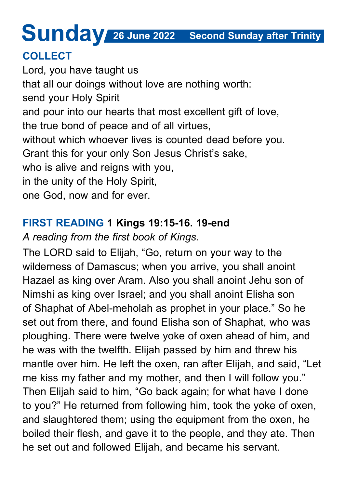## **Sunday** 26 June 2022 **26 Second Sunday after Trinity**

# **COLLECT**

Lord, you have taught us that all our doings without love are nothing worth: send your Holy Spirit and pour into our hearts that most excellent gift of love, the true bond of peace and of all virtues, without which whoever lives is counted dead before you. Grant this for your only Son Jesus Christ's sake, who is alive and reigns with you, in the unity of the Holy Spirit, one God, now and for ever.

## **FIRST READING 1 Kings 19:15-16. 19-end**

*A reading from the first book of Kings.*

The LORD said to Elijah, "Go, return on your way to the wilderness of Damascus; when you arrive, you shall anoint Hazael as king over Aram. Also you shall anoint Jehu son of Nimshi as king over Israel; and you shall anoint Elisha son of Shaphat of Abel-meholah as prophet in your place." So he set out from there, and found Elisha son of Shaphat, who was ploughing. There were twelve yoke of oxen ahead of him, and he was with the twelfth. Elijah passed by him and threw his mantle over him. He left the oxen, ran after Elijah, and said, "Let me kiss my father and my mother, and then I will follow you." Then Elijah said to him, "Go back again; for what have I done to you?" He returned from following him, took the yoke of oxen, and slaughtered them; using the equipment from the oxen, he boiled their flesh, and gave it to the people, and they ate. Then he set out and followed Elijah, and became his servant.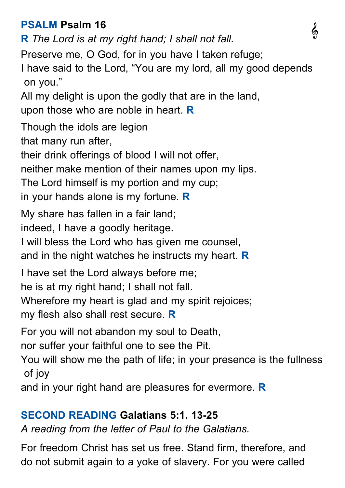# **PSALM Psalm 16**

**R** *The Lord is at my right hand; I shall not fall.*

Preserve me, O God, for in you have I taken refuge;

I have said to the Lord, "You are my lord, all my good depends on you."

All my delight is upon the godly that are in the land, upon those who are noble in heart. **R**

Though the idols are legion

that many run after,

their drink offerings of blood I will not offer,

neither make mention of their names upon my lips.

The Lord himself is my portion and my cup;

in your hands alone is my fortune. **R**

My share has fallen in a fair land;

indeed, I have a goodly heritage.

I will bless the Lord who has given me counsel,

and in the night watches he instructs my heart. **R**

I have set the Lord always before me;

he is at my right hand; I shall not fall.

Wherefore my heart is glad and my spirit rejoices;

my flesh also shall rest secure. **R**

For you will not abandon my soul to Death,

nor suffer your faithful one to see the Pit.

You will show me the path of life; in your presence is the fullness of joy

and in your right hand are pleasures for evermore. **R**

## **SECOND READING Galatians 5:1. 13-25**

*A reading from the letter of Paul to the Galatians.*

For freedom Christ has set us free. Stand firm, therefore, and do not submit again to a yoke of slavery. For you were called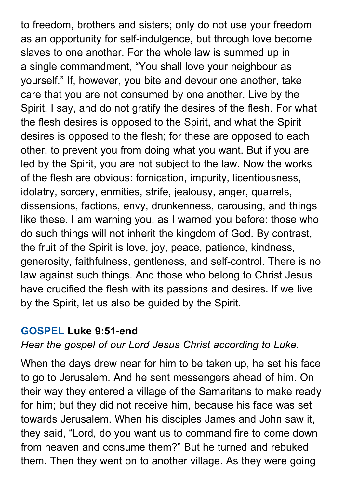to freedom, brothers and sisters; only do not use your freedom as an opportunity for self-indulgence, but through love become slaves to one another. For the whole law is summed up in a single commandment, "You shall love your neighbour as yourself." If, however, you bite and devour one another, take care that you are not consumed by one another. Live by the Spirit, I say, and do not gratify the desires of the flesh. For what the flesh desires is opposed to the Spirit, and what the Spirit desires is opposed to the flesh; for these are opposed to each other, to prevent you from doing what you want. But if you are led by the Spirit, you are not subject to the law. Now the works of the flesh are obvious: fornication, impurity, licentiousness, idolatry, sorcery, enmities, strife, jealousy, anger, quarrels, dissensions, factions, envy, drunkenness, carousing, and things like these. I am warning you, as I warned you before: those who do such things will not inherit the kingdom of God. By contrast, the fruit of the Spirit is love, joy, peace, patience, kindness, generosity, faithfulness, gentleness, and self-control. There is no law against such things. And those who belong to Christ Jesus have crucified the flesh with its passions and desires. If we live by the Spirit, let us also be guided by the Spirit.

### **GOSPEL Luke 9:51-end**

*Hear the gospel of our Lord Jesus Christ according to Luke.*

When the days drew near for him to be taken up, he set his face to go to Jerusalem. And he sent messengers ahead of him. On their way they entered a village of the Samaritans to make ready for him; but they did not receive him, because his face was set towards Jerusalem. When his disciples James and John saw it, they said, "Lord, do you want us to command fire to come down from heaven and consume them?" But he turned and rebuked them. Then they went on to another village. As they were going